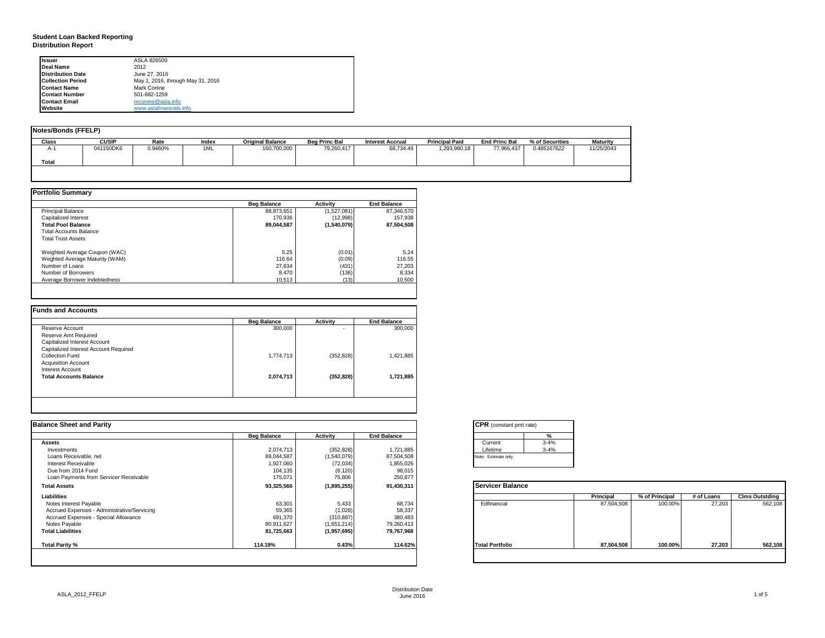### **Student Loan Backed Reporting Distribution Report**

| Issuer                   | ASLA 826509                       |
|--------------------------|-----------------------------------|
| Deal Name                | 2012                              |
| <b>Distribution Date</b> | June 27, 2016                     |
| <b>Collection Period</b> | May 1, 2016, through May 31, 2016 |
| <b>Contact Name</b>      | Mark Conine                       |
| <b>Contact Number</b>    | 501-682-1259                      |
| <b>Contact Email</b>     | mconine@asla.info                 |
| Website                  | www.aslafinancials.info           |

| Notes/Bonds (FFELP) |              |         |       |                         |                      |                         |                       |                      |                 |            |
|---------------------|--------------|---------|-------|-------------------------|----------------------|-------------------------|-----------------------|----------------------|-----------------|------------|
| Class               | <b>CUSIP</b> | Rate    | Index | <b>Original Balance</b> | <b>Beg Princ Bal</b> | <b>Interest Accrual</b> | <b>Principal Paid</b> | <b>End Princ Bal</b> | % of Securities | Maturity   |
| $A-1$               | 041150DK6    | 0.9460% | 1ML   | 160,700,000             | 79,260,417           | 68.734.49               | 1,293,980.18          | 77,966,437           | 0.485167622     | 11/25/2043 |
| Total               |              |         |       |                         |                      |                         |                       |                      |                 |            |
|                     |              |         |       |                         |                      |                         |                       |                      |                 |            |

|                                | <b>Beg Balance</b> | <b>Activity</b> | <b>End Balance</b> |
|--------------------------------|--------------------|-----------------|--------------------|
| <b>Principal Balance</b>       | 88.873.651         | (1,527,081)     | 87.346.570         |
| Capitalized Interest           | 170.936            | (12,998)        | 157,938            |
| <b>Total Pool Balance</b>      | 89.044.587         | (1,540,079)     | 87.504.508         |
| <b>Total Accounts Balance</b>  |                    |                 |                    |
| <b>Total Trust Assets</b>      |                    |                 |                    |
| Weighted Average Coupon (WAC)  | 5.25               | (0.01)          | 5.24               |
| Weghted Average Maturity (WAM) | 116.64             | (0.09)          | 116.55             |
| Number of Loans                | 27.634             | (431)           | 27,203             |
| Number of Borrowers            | 8.470              | (136)           | 8,334              |
| Average Borrower Indebtedness  | 10.513             | (13)            | 10.500             |

| <b>Beg Balance</b> | <b>Activity</b> | <b>End Balance</b> |
|--------------------|-----------------|--------------------|
| 300,000            | ۰               | 300,000            |
|                    |                 |                    |
|                    |                 |                    |
|                    |                 |                    |
| 1,774,713          | (352, 828)      | 1,421,885          |
|                    |                 |                    |
|                    |                 |                    |
| 2,074,713          | (352, 828)      | 1,721,885          |
|                    |                 |                    |
|                    |                 |                    |

| <b>Balance Sheet and Parity</b>             |                    |             |                    | <b>CPR</b> (constant pmt rate) |               |                |            |                       |
|---------------------------------------------|--------------------|-------------|--------------------|--------------------------------|---------------|----------------|------------|-----------------------|
|                                             | <b>Beg Balance</b> | Activity    | <b>End Balance</b> |                                | $\frac{9}{6}$ |                |            |                       |
| <b>Assets</b>                               |                    |             |                    | $3 - 4%$<br>Current            |               |                |            |                       |
| Investments                                 | 2,074,713          | (352, 828)  | 1,721,885          | Lifetime                       | $3 - 4%$      |                |            |                       |
| Loans Receivable, net                       | 89,044,587         | (1,540,079) | 87,504,508         | Note: Estimate only.           |               |                |            |                       |
| Interest Receivable                         | 1,927,060          | (72, 034)   | 1,855,026          |                                |               |                |            |                       |
| Due from 2014 Fund                          | 104,135            | (6, 120)    | 98,015             |                                |               |                |            |                       |
| Loan Payments from Servicer Receivable      | 175,071            | 75,806      | 250,877            |                                |               |                |            |                       |
| <b>Total Assets</b>                         | 93,325,566         | (1,895,255) | 91,430,311         | <b>Servicer Balance</b>        |               |                |            |                       |
| Liabilities                                 |                    |             |                    |                                | Principal     | % of Principal | # of Loans | <b>Clms Outstding</b> |
| Notes Interest Payable                      | 63,301             | 5,433       | 68,734             | Edfinancial                    | 87,504,508    | 100.00%        | 27,203     | 562,108               |
| Accrued Expenses - Administrative/Servicing | 59,365             | (1,028)     | 58,337             |                                |               |                |            |                       |
| Accrued Expenses - Special Allowance        | 691,370            | (310, 887)  | 380,483            |                                |               |                |            |                       |
| Notes Payable                               | 80,911,627         | (1,651,214) | 79,260,413         |                                |               |                |            |                       |
| <b>Total Liabilities</b>                    | 81,725,663         | (1,957,695) | 79,767,968         |                                |               |                |            |                       |
| Total Parity %                              | 114.19%            | 0.43%       | 114.62%            | <b>Total Portfolio</b>         | 87,504,508    | 100.00%        | 27,203     | 562,108               |
|                                             |                    |             |                    |                                |               |                |            |                       |

| <b>CPR</b> (constant pmt rate) |          |  |  |  |  |
|--------------------------------|----------|--|--|--|--|
|                                | ℀        |  |  |  |  |
| Current                        | $3 - 4%$ |  |  |  |  |
| Lifetime                       | $3 - 4%$ |  |  |  |  |
| Note: Estimate only.           |          |  |  |  |  |

|                        | Principal  | % of Principal | # of Loans | <b>Clms Outstding</b> |
|------------------------|------------|----------------|------------|-----------------------|
| Edfinancial            | 87,504,508 | 100.00%        | 27,203     | 562,108               |
| <b>Total Portfolio</b> | 87,504,508 | 100.00%        | 27,203     | 562,108               |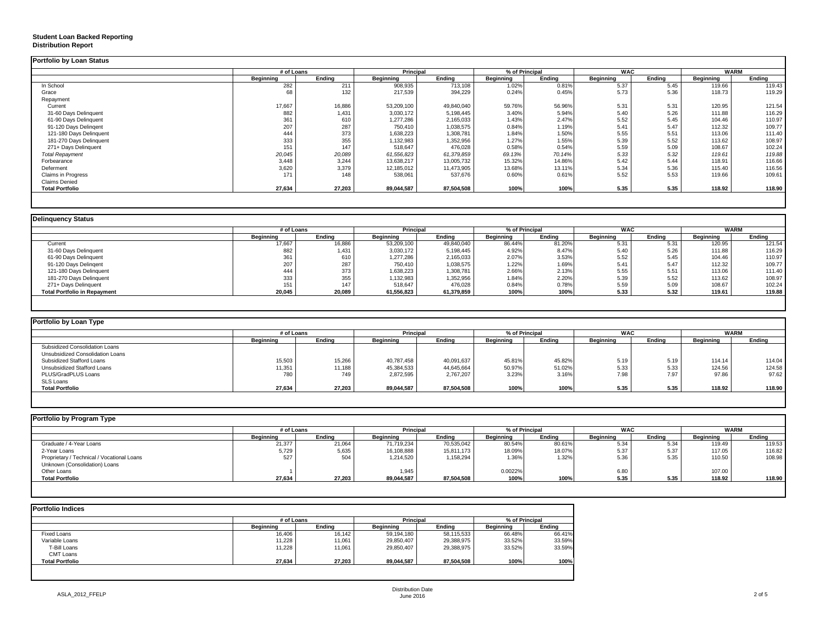### **Student Loan Backed Reporting Distribution Report**

|                           | # of Loans |        |            | <b>Principal</b> |           | % of Principal |           | <b>WAC</b> |           | WARM   |
|---------------------------|------------|--------|------------|------------------|-----------|----------------|-----------|------------|-----------|--------|
|                           | Beainnina  | Endina | Beainnina  | Endina           | Beainnina | Endina         | Beainnina | Endina     | Beainnina | Endina |
| In School                 | 282        | 211    | 908,935    | 713,108          | 1.02%     | 0.81%          | 5.37      | 5.45       | 119.66    | 119.43 |
| Grace                     | 68         | 132    | 217,539    | 394,229          | 0.24%     | 0.45%          | 5.73      | 5.36       | 118.73    | 119.29 |
| Repayment                 |            |        |            |                  |           |                |           |            |           |        |
| Current                   | 17,667     | 16,886 | 53,209,100 | 49,840,040       | 59.76%    | 56.96%         | 5.31      | 5.31       | 120.95    | 121.54 |
| 31-60 Days Delinquent     | 882        | 1,431  | 3,030,172  | 5,198,445        | 3.40%     | 5.94%          | 5.40      | 5.26       | 111.88    | 116.29 |
| 61-90 Days Delinquent     | 361        | 610    | 1,277,286  | 2,165,033        | 1.43%     | 2.47%          | 5.52      | 5.45       | 104.46    | 110.97 |
| 91-120 Days Delingent     | 207        | 287    | 750,410    | 1,038,575        | 0.84%     | 1.19%          | 5.41      | 5.47       | 112.32    | 109.77 |
| 121-180 Days Delinquent   | 444        | 373    | 1,638,223  | 1,308,781        | 1.84%     | 1.50%          | 5.55      | 5.51       | 113.06    | 111.40 |
| 181-270 Days Delinquent   | 333        | 355    | 1,132,983  | 1,352,956        | 1.27%     | 1.55%          | 5.39      | 5.52       | 113.62    | 108.97 |
| 271+ Days Delinquent      | 151        | 147    | 518,647    | 476,028          | 0.58%     | 0.54%          | 5.59      | 5.09       | 108.67    | 102.24 |
| <b>Total Repayment</b>    | 20,045     | 20,089 | 61,556,823 | 61,379,859       | 69.13%    | 70.14%         | 5.33      | 5.32       | 119.61    | 119.88 |
| Forbearance               | 3,448      | 3,244  | 13,638,217 | 13,005,732       | 15.32%    | 14.86%         | 5.42      | 5.44       | 118.91    | 116.66 |
| Deferment                 | 3,620      | 3,379  | 12,185,012 | 11,473,905       | 13.68%    | 13.11%         | 5.34      | 5.36       | 115.40    | 116.56 |
| <b>Claims in Progress</b> | 171        | 148    | 538,061    | 537,676          | 0.60%     | 0.61%          | 5.52      | 5.53       | 119.66    | 109.61 |
| <b>Claims Denied</b>      |            |        |            |                  |           |                |           |            |           |        |
| <b>Total Portfolio</b>    | 27,634     | 27,203 | 89,044,587 | 87,504,508       | 100%      | 100%           | 5.35      | 5.35       | 118.92    | 118.90 |

| % of Principal<br>Ending<br><b>Beginning</b> |                  |                                                            |                  |             |  |
|----------------------------------------------|------------------|------------------------------------------------------------|------------------|-------------|--|
|                                              |                  | <b>WAC</b>                                                 |                  | <b>WARM</b> |  |
|                                              | <b>Beginning</b> | Endina                                                     | <b>Beginning</b> | Endina      |  |
| 86.44%<br>81.20%                             | 5.31             | 5.31                                                       | 120.95           | 121.54      |  |
| 4.92%                                        | 5.40             | 5.26                                                       | 111.88           | 116.29      |  |
| 2.07%                                        | 5.52             | 5.45                                                       | 104.46           | 110.97      |  |
| 1.22%                                        | 5.41             | 5.47                                                       | 112.32           | 109.77      |  |
| 2.66%                                        | 5.55             | 5.51                                                       | 113.06           | 111.40      |  |
| 1.84%                                        | 5.39             | 5.52                                                       | 113.62           | 108.97      |  |
| 0.84%                                        | 5.59             | 5.09                                                       | 108.67           | 102.24      |  |
| 100%                                         | 5.33             | 5.32                                                       | 119.61           | 119.88      |  |
|                                              |                  | 8.47%<br>3.53%<br>1.69%<br>2.13%<br>2.20%<br>0.78%<br>100% |                  |             |  |

| Portfolio by Loan Type           |            |        |                  |            |                  |        |                  |        |             |        |
|----------------------------------|------------|--------|------------------|------------|------------------|--------|------------------|--------|-------------|--------|
|                                  | # of Loans |        | Principal        |            | % of Principal   |        | <b>WAC</b>       |        | <b>WARM</b> |        |
|                                  | Beginning  | Ending | <b>Beginning</b> | Ending     | <b>Beginning</b> | Ending | <b>Beginning</b> | Endina | Beginning   | Ending |
| Subsidized Consolidation Loans   |            |        |                  |            |                  |        |                  |        |             |        |
| Unsubsidized Consolidation Loans |            |        |                  |            |                  |        |                  |        |             |        |
| Subsidized Stafford Loans        | 15,503     | 15,266 | 40,787,458       | 40,091,637 | 45.81%           | 45.82% | 5.19             | 5.19   | 114.14      | 114.04 |
| Unsubsidized Stafford Loans      | 11,351     | 11,188 | 45,384,533       | 44,645,664 | 50.97%           | 51.02% | 5.33             | 5.33   | 124.56      | 124.58 |
| PLUS/GradPLUS Loans              | 780        | 749    | 2.872.595        | 2,767,207  | 3.23%            | 3.16%  | 7.98             | 7.97   | 97.86       | 97.62  |
| SLS Loans                        |            |        |                  |            |                  |        |                  |        |             |        |
| <b>Total Portfolio</b>           | 27,634     | 27,203 | 89,044,587       | 87,504,508 | 100%             | 100%   | 5.35             | 5.35   | 118.92      | 118.90 |

| Portfolio by Program Type                  |                  |            |                  |            |           |                |           |            |                  |             |  |
|--------------------------------------------|------------------|------------|------------------|------------|-----------|----------------|-----------|------------|------------------|-------------|--|
|                                            |                  | # of Loans |                  | Principal  |           | % of Principal |           | <b>WAC</b> |                  | <b>WARM</b> |  |
|                                            | <b>Beginning</b> | Endina     | <b>Beginning</b> | Endina     | Beainnina | Endina         | Beginning | Endina     | <b>Beginning</b> | Endina      |  |
| Graduate / 4-Year Loans                    | 21,377           | 21,064     | 71,719,234       | 70,535,042 | 80.54%    | 80.61%         | 5.34      | 5.34       | 119.49           | 119.53      |  |
| 2-Year Loans                               | 5,729            | 5,635      | 16,108,888       | 15,811,173 | 18.09%    | 18.07%         | 5.37      | 5.37       | 117.05           | 116.82      |  |
| Proprietary / Technical / Vocational Loans | 527              | 504        | 1.214.520        | 1,158,294  | 1.36%     | 1.32%          | 5.36      | 5.35       | 110.50           | 108.98      |  |
| Unknown (Consolidation) Loans              |                  |            |                  |            |           |                |           |            |                  |             |  |
| Other Loans                                |                  |            | 1.945            |            | 0.0022%   |                | 6.80      |            | 107.00           |             |  |
| <b>Total Portfolio</b>                     | 27,634           | 27,203     | 89,044,587       | 87,504,508 | 100%      | 100%           | 5.35      | 5.35       | 118.92           | 118.90      |  |
|                                            |                  |            |                  |            |           |                |           |            |                  |             |  |

| <b>Portfolio Indices</b> |                  |        |                  |            |                |        |  |
|--------------------------|------------------|--------|------------------|------------|----------------|--------|--|
|                          | # of Loans       |        | Principal        |            | % of Principal |        |  |
|                          | <b>Beainning</b> | Endina | <b>Beainning</b> | Endina     | Beginning      | Endina |  |
| <b>Fixed Loans</b>       | 16,406           | 16,142 | 59,194,180       | 58,115,533 | 66.48%         | 66.41% |  |
| Variable Loans           | 11.228           | 11.061 | 29,850,407       | 29.388.975 | 33.52%         | 33.59% |  |
| T-Bill Loans             | 11.228           | 11,061 | 29,850,407       | 29,388,975 | 33.52%         | 33.59% |  |
| <b>CMT Loans</b>         |                  |        |                  |            |                |        |  |
| <b>Total Portfolio</b>   | 27.634           | 27,203 | 89.044.587       | 87,504,508 | 100%           | 100%   |  |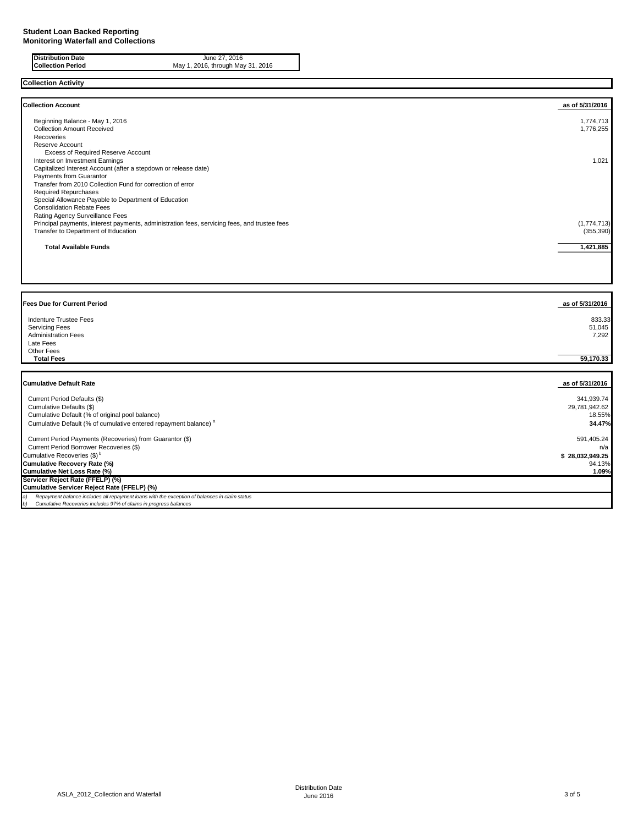**Distribution Date** June 27, 2016 **Collection Period** May 1, 2016, through May 31, 2016

### **Collection Activity**

| <b>Collection Account</b>                                                                    | as of 5/31/2016 |
|----------------------------------------------------------------------------------------------|-----------------|
| Beginning Balance - May 1, 2016                                                              | 1,774,713       |
| <b>Collection Amount Received</b>                                                            | 1,776,255       |
| Recoveries                                                                                   |                 |
| Reserve Account                                                                              |                 |
| Excess of Required Reserve Account                                                           |                 |
| Interest on Investment Earnings                                                              | 1,021           |
| Capitalized Interest Account (after a stepdown or release date)                              |                 |
| Payments from Guarantor                                                                      |                 |
| Transfer from 2010 Collection Fund for correction of error                                   |                 |
| <b>Required Repurchases</b>                                                                  |                 |
| Special Allowance Payable to Department of Education                                         |                 |
| <b>Consolidation Rebate Fees</b>                                                             |                 |
| Rating Agency Surveillance Fees                                                              |                 |
| Principal payments, interest payments, administration fees, servicing fees, and trustee fees | (1, 774, 713)   |
| Transfer to Department of Education                                                          | (355, 390)      |
| <b>Total Available Funds</b>                                                                 | 1,421,885       |
|                                                                                              |                 |

| <b>Fees Due for Current Period</b>                                                            | as of 5/31/2016 |
|-----------------------------------------------------------------------------------------------|-----------------|
| Indenture Trustee Fees                                                                        | 833.33          |
| <b>Servicing Fees</b>                                                                         | 51,045          |
| <b>Administration Fees</b>                                                                    | 7,292           |
| Late Fees                                                                                     |                 |
| Other Fees                                                                                    |                 |
| <b>Total Fees</b>                                                                             | 59,170.33       |
|                                                                                               |                 |
|                                                                                               |                 |
| <b>Cumulative Default Rate</b>                                                                | as of 5/31/2016 |
| Current Period Defaults (\$)                                                                  | 341,939.74      |
| Cumulative Defaults (\$)                                                                      | 29,781,942.62   |
| Cumulative Default (% of original pool balance)                                               | 18.55%          |
| Cumulative Default (% of cumulative entered repayment balance) <sup>a</sup>                   | 34.47%          |
|                                                                                               |                 |
| Current Period Payments (Recoveries) from Guarantor (\$)                                      | 591,405.24      |
| Current Period Borrower Recoveries (\$)                                                       | n/a             |
| Cumulative Recoveries (\$) <sup>b</sup>                                                       | \$28,032,949.25 |
| Cumulative Recovery Rate (%)                                                                  | 94.13%          |
| Cumulative Net Loss Rate (%)                                                                  | 1.09%           |
| Servicer Reject Rate (FFELP) (%)                                                              |                 |
| Cumulative Servicer Reject Rate (FFELP) (%)                                                   |                 |
| Repayment balance includes all repayment loans with the exception of balances in claim status |                 |
| Cumulative Recoveries includes 97% of claims in progress balances                             |                 |

T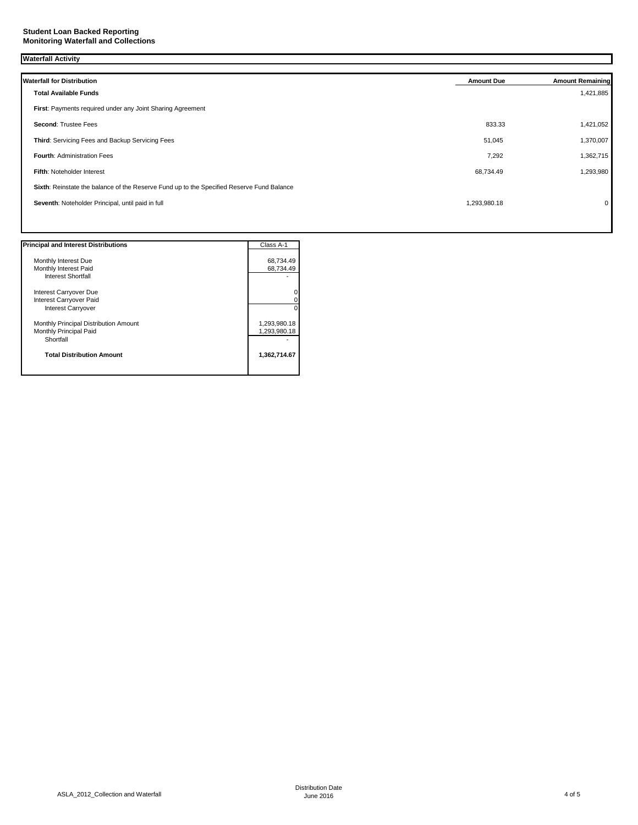| <b>Waterfall Activity</b> |                                                                                           |                   |                         |  |
|---------------------------|-------------------------------------------------------------------------------------------|-------------------|-------------------------|--|
|                           |                                                                                           |                   |                         |  |
|                           | <b>Waterfall for Distribution</b>                                                         | <b>Amount Due</b> | <b>Amount Remaining</b> |  |
|                           | <b>Total Available Funds</b>                                                              |                   | 1,421,885               |  |
|                           | First: Payments required under any Joint Sharing Agreement                                |                   |                         |  |
|                           | Second: Trustee Fees                                                                      | 833.33            | 1,421,052               |  |
|                           | Third: Servicing Fees and Backup Servicing Fees                                           | 51,045            | 1,370,007               |  |
|                           | Fourth: Administration Fees                                                               | 7,292             | 1,362,715               |  |
|                           | Fifth: Noteholder Interest                                                                | 68,734.49         | 1,293,980               |  |
|                           | Sixth: Reinstate the balance of the Reserve Fund up to the Specified Reserve Fund Balance |                   |                         |  |
|                           | Seventh: Noteholder Principal, until paid in full                                         | 1,293,980.18      | $\mathbf 0$             |  |
|                           |                                                                                           |                   |                         |  |

| <b>Principal and Interest Distributions</b> | Class A-1    |
|---------------------------------------------|--------------|
| Monthly Interest Due                        | 68,734.49    |
| Monthly Interest Paid                       | 68,734.49    |
| Interest Shortfall                          |              |
| Interest Carryover Due                      |              |
| Interest Carryover Paid                     |              |
| <b>Interest Carryover</b>                   |              |
| Monthly Principal Distribution Amount       | 1,293,980.18 |
| Monthly Principal Paid                      | 1,293,980.18 |
| Shortfall                                   |              |
| <b>Total Distribution Amount</b>            | 1,362,714.67 |
|                                             |              |